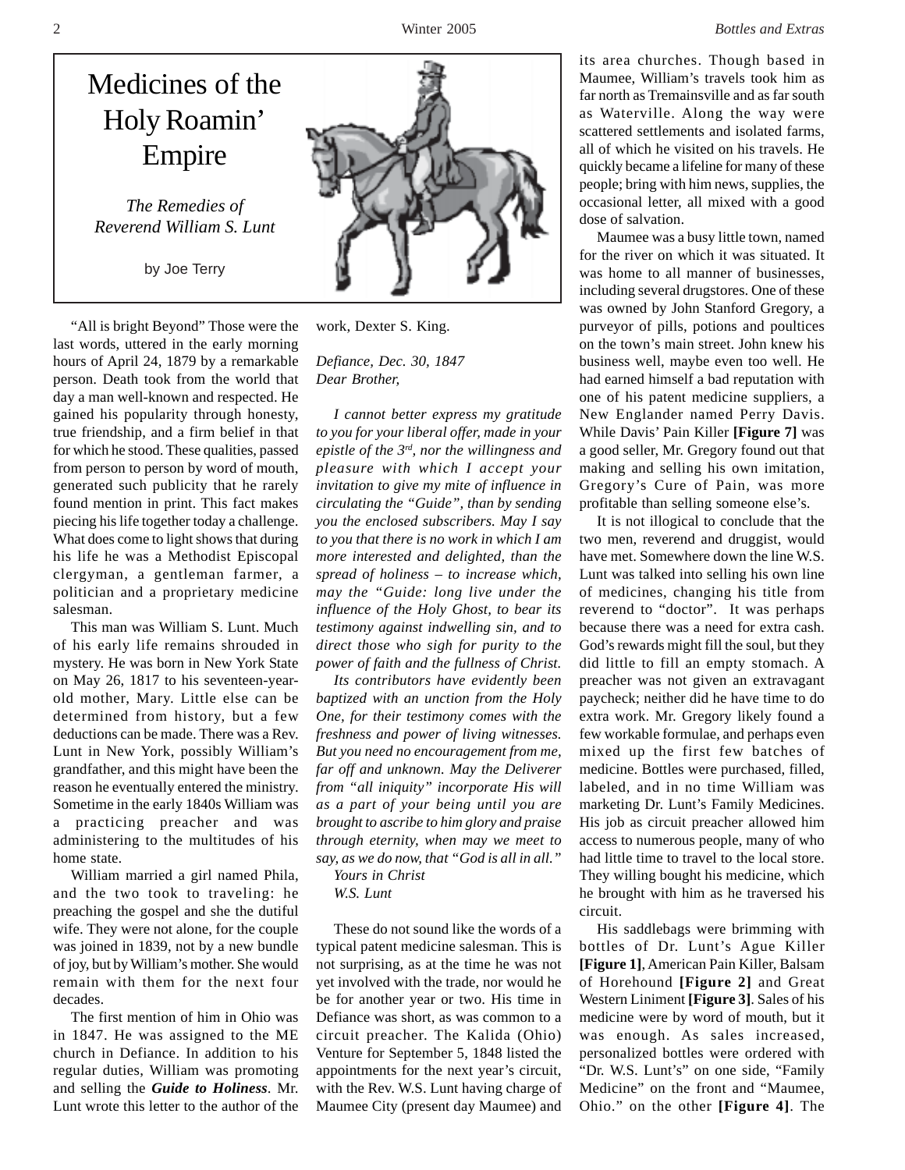## Medicines of the Holy Roamin' Empire

*The Remedies of Reverend William S. Lunt*

by Joe Terry

"All is bright Beyond" Those were the last words, uttered in the early morning hours of April 24, 1879 by a remarkable person. Death took from the world that day a man well-known and respected. He gained his popularity through honesty, true friendship, and a firm belief in that for which he stood. These qualities, passed from person to person by word of mouth, generated such publicity that he rarely found mention in print. This fact makes piecing his life together today a challenge. What does come to light shows that during his life he was a Methodist Episcopal clergyman, a gentleman farmer, a politician and a proprietary medicine salesman.

This man was William S. Lunt. Much of his early life remains shrouded in mystery. He was born in New York State on May 26, 1817 to his seventeen-yearold mother, Mary. Little else can be determined from history, but a few deductions can be made. There was a Rev. Lunt in New York, possibly William's grandfather, and this might have been the reason he eventually entered the ministry. Sometime in the early 1840s William was a practicing preacher and was administering to the multitudes of his home state.

William married a girl named Phila, and the two took to traveling: he preaching the gospel and she the dutiful wife. They were not alone, for the couple was joined in 1839, not by a new bundle of joy, but by William's mother. She would remain with them for the next four decades.

The first mention of him in Ohio was in 1847. He was assigned to the ME church in Defiance. In addition to his regular duties, William was promoting and selling the *Guide to Holiness*. Mr. Lunt wrote this letter to the author of the



work, Dexter S. King.

*Defiance, Dec. 30, 1847 Dear Brother,*

*I cannot better express my gratitude to you for your liberal offer, made in your epistle of the 3rd, nor the willingness and pleasure with which I accept your invitation to give my mite of influence in circulating the "Guide", than by sending you the enclosed subscribers. May I say to you that there is no work in which I am more interested and delighted, than the spread of holiness – to increase which, may the "Guide: long live under the influence of the Holy Ghost, to bear its testimony against indwelling sin, and to direct those who sigh for purity to the power of faith and the fullness of Christ.*

*Its contributors have evidently been baptized with an unction from the Holy One, for their testimony comes with the freshness and power of living witnesses. But you need no encouragement from me, far off and unknown. May the Deliverer from "all iniquity" incorporate His will as a part of your being until you are brought to ascribe to him glory and praise through eternity, when may we meet to say, as we do now, that "God is all in all."*

*Yours in Christ W.S. Lunt*

These do not sound like the words of a typical patent medicine salesman. This is not surprising, as at the time he was not yet involved with the trade, nor would he be for another year or two. His time in Defiance was short, as was common to a circuit preacher. The Kalida (Ohio) Venture for September 5, 1848 listed the appointments for the next year's circuit, with the Rev. W.S. Lunt having charge of Maumee City (present day Maumee) and

its area churches. Though based in Maumee, William's travels took him as far north as Tremainsville and as far south as Waterville. Along the way were scattered settlements and isolated farms, all of which he visited on his travels. He quickly became a lifeline for many of these people; bring with him news, supplies, the occasional letter, all mixed with a good dose of salvation.

Maumee was a busy little town, named for the river on which it was situated. It was home to all manner of businesses, including several drugstores. One of these was owned by John Stanford Gregory, a purveyor of pills, potions and poultices on the town's main street. John knew his business well, maybe even too well. He had earned himself a bad reputation with one of his patent medicine suppliers, a New Englander named Perry Davis. While Davis' Pain Killer **[Figure 7]** was a good seller, Mr. Gregory found out that making and selling his own imitation, Gregory's Cure of Pain, was more profitable than selling someone else's.

It is not illogical to conclude that the two men, reverend and druggist, would have met. Somewhere down the line W.S. Lunt was talked into selling his own line of medicines, changing his title from reverend to "doctor". It was perhaps because there was a need for extra cash. God's rewards might fill the soul, but they did little to fill an empty stomach. A preacher was not given an extravagant paycheck; neither did he have time to do extra work. Mr. Gregory likely found a few workable formulae, and perhaps even mixed up the first few batches of medicine. Bottles were purchased, filled, labeled, and in no time William was marketing Dr. Lunt's Family Medicines. His job as circuit preacher allowed him access to numerous people, many of who had little time to travel to the local store. They willing bought his medicine, which he brought with him as he traversed his circuit.

His saddlebags were brimming with bottles of Dr. Lunt's Ague Killer **[Figure 1]**, American Pain Killer, Balsam of Horehound **[Figure 2]** and Great Western Liniment **[Figure 3]**. Sales of his medicine were by word of mouth, but it was enough. As sales increased, personalized bottles were ordered with "Dr. W.S. Lunt's" on one side, "Family Medicine" on the front and "Maumee, Ohio." on the other **[Figure 4]**. The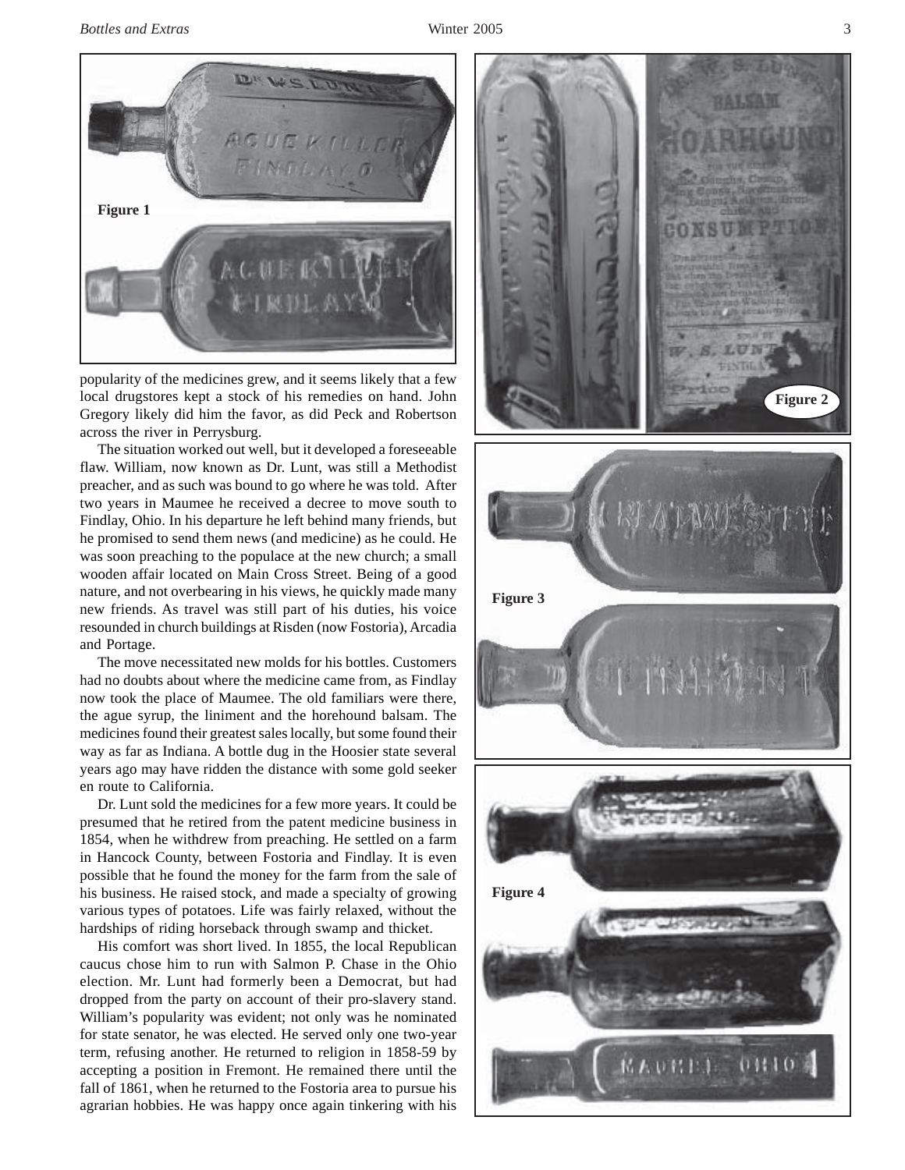*Bottles and Extras* Winter 2005 3



popularity of the medicines grew, and it seems likely that a few local drugstores kept a stock of his remedies on hand. John Gregory likely did him the favor, as did Peck and Robertson across the river in Perrysburg.

The situation worked out well, but it developed a foreseeable flaw. William, now known as Dr. Lunt, was still a Methodist preacher, and as such was bound to go where he was told. After two years in Maumee he received a decree to move south to Findlay, Ohio. In his departure he left behind many friends, but he promised to send them news (and medicine) as he could. He was soon preaching to the populace at the new church; a small wooden affair located on Main Cross Street. Being of a good nature, and not overbearing in his views, he quickly made many new friends. As travel was still part of his duties, his voice resounded in church buildings at Risden (now Fostoria), Arcadia and Portage.

The move necessitated new molds for his bottles. Customers had no doubts about where the medicine came from, as Findlay now took the place of Maumee. The old familiars were there, the ague syrup, the liniment and the horehound balsam. The medicines found their greatest sales locally, but some found their way as far as Indiana. A bottle dug in the Hoosier state several years ago may have ridden the distance with some gold seeker en route to California.

Dr. Lunt sold the medicines for a few more years. It could be presumed that he retired from the patent medicine business in 1854, when he withdrew from preaching. He settled on a farm in Hancock County, between Fostoria and Findlay. It is even possible that he found the money for the farm from the sale of his business. He raised stock, and made a specialty of growing various types of potatoes. Life was fairly relaxed, without the hardships of riding horseback through swamp and thicket.

His comfort was short lived. In 1855, the local Republican caucus chose him to run with Salmon P. Chase in the Ohio election. Mr. Lunt had formerly been a Democrat, but had dropped from the party on account of their pro-slavery stand. William's popularity was evident; not only was he nominated for state senator, he was elected. He served only one two-year term, refusing another. He returned to religion in 1858-59 by accepting a position in Fremont. He remained there until the fall of 1861, when he returned to the Fostoria area to pursue his agrarian hobbies. He was happy once again tinkering with his